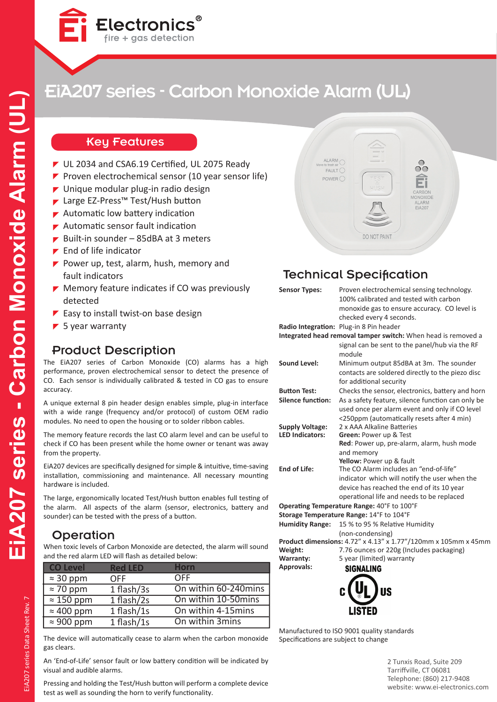

## Key Features

■ UL 2034 and CSA6.19 Certified, UL 2075 Ready

 $\mathsf{Electromics}^\circ$  fire + gas detection

- Proven electrochemical sensor (10 year sensor life)
- $\blacktriangleright$  Unique modular plug-in radio design
- ► Large EZ-Press™ Test/Hush button
- $\blacktriangleright$  Automatic low battery indication
- Automatic sensor fault indication
- Built-in sounder 85dBA at 3 meters
- $\blacktriangleright$  End of life indicator
- Power up, test, alarm, hush, memory and fault indicators
- $\blacktriangleright$  Memory feature indicates if CO was previously detected
- $\blacktriangleright$  Easy to install twist-on base design
- $\blacktriangleright$  5 year warranty

## Product Description

The EiA207 series of Carbon Monoxide (CO) alarms has a high performance, proven electrochemical sensor to detect the presence of CO. Each sensor is individually calibrated & tested in CO gas to ensure accuracy.

A unique external 8 pin header design enables simple, plug-in interface with a wide range (frequency and/or protocol) of custom OEM radio modules. No need to open the housing or to solder ribbon cables.

The memory feature records the last CO alarm level and can be useful to check if CO has been present while the home owner or tenant was away from the property.

EiA207 devices are specifically designed for simple & intuitive, time-saving installation, commissioning and maintenance. All necessary mounting hardware is included.

The large, ergonomically located Test/Hush button enables full testing of the alarm. All aspects of the alarm (sensor, electronics, battery and sounder) can be tested with the press of a button.

## **Operation**

When toxic levels of Carbon Monoxide are detected, the alarm will sound and the red alarm LED will flash as detailed below:

| <b>CO Level</b>   | <b>Red LED</b> | Horn                 |  |
|-------------------|----------------|----------------------|--|
| $\approx$ 30 ppm  | <b>OFF</b>     | OFF                  |  |
| $\approx 70$ ppm  | 1 flash/3s     | On within 60-240mins |  |
| $\approx$ 150 ppm | $1$ flash/2s   | On within 10-50mins  |  |
| $\approx 400$ ppm | 1 flash/1s     | On within 4-15mins   |  |
| $\approx 900$ ppm | 1 flash/1s     | On within 3mins      |  |

The device will automatically cease to alarm when the carbon monoxide gas clears.

An 'End-of-Life' sensor fault or low battery condition will be indicated by visual and audible alarms.

Pressing and holding the Test/Hush button will perform a complete device test as well as sounding the horn to verify functionality.



## Technical Specification

| <b>Sensor Types:</b>                             | Proven electrochemical sensing technology.<br>100% calibrated and tested with carbon<br>monoxide gas to ensure accuracy. CO level is<br>checked every 4 seconds. |
|--------------------------------------------------|------------------------------------------------------------------------------------------------------------------------------------------------------------------|
|                                                  | Radio Integration: Plug-in 8 Pin header                                                                                                                          |
|                                                  | Integrated head removal tamper switch: When head is removed a                                                                                                    |
|                                                  | signal can be sent to the panel/hub via the RF<br>module                                                                                                         |
| <b>Sound Level:</b>                              | Minimum output 85dBA at 3m. The sounder<br>contacts are soldered directly to the piezo disc                                                                      |
|                                                  | for additional security                                                                                                                                          |
| <b>Button Test:</b>                              | Checks the sensor, electronics, battery and horn                                                                                                                 |
| <b>Silence function:</b>                         | As a safety feature, silence function can only be                                                                                                                |
|                                                  | used once per alarm event and only if CO level                                                                                                                   |
|                                                  | <250ppm (automatically resets after 4 min)<br>2 x AAA Alkaline Batteries                                                                                         |
| <b>Supply Voltage:</b><br><b>LED Indicators:</b> | <b>Green: Power up &amp; Test</b>                                                                                                                                |
|                                                  | Red: Power up, pre-alarm, alarm, hush mode                                                                                                                       |
|                                                  | and memory                                                                                                                                                       |
|                                                  | Yellow: Power up & fault                                                                                                                                         |
| End of Life:                                     | The CO Alarm includes an "end-of-life"                                                                                                                           |
|                                                  | indicator which will notify the user when the                                                                                                                    |
|                                                  | device has reached the end of its 10 year                                                                                                                        |
|                                                  | operational life and needs to be replaced                                                                                                                        |
|                                                  | Operating Temperature Range: 40°F to 100°F                                                                                                                       |
|                                                  | Storage Temperature Range: 14°F to 104°F                                                                                                                         |
| <b>Humidity Range:</b>                           | 15 % to 95 % Relative Humidity                                                                                                                                   |
|                                                  | (non-condensing)                                                                                                                                                 |
|                                                  | Product dimensions: 4.72" x 4.13" x 1.77"/120mm x 105mm x 45mm                                                                                                   |
| Weight:                                          | 7.76 ounces or 220g (Includes packaging)                                                                                                                         |
| Warranty:                                        | 5 year (limited) warranty                                                                                                                                        |
| <b>Approvals:</b>                                | <b>SIGNALING</b>                                                                                                                                                 |



Manufactured to ISO 9001 quality standards Specifications are subject to change

> 2 Tunxis Road, Suite 209 Tarriffville, CT 06081 Telephone: (860) 217-9408 website: www.ei-electronics.com